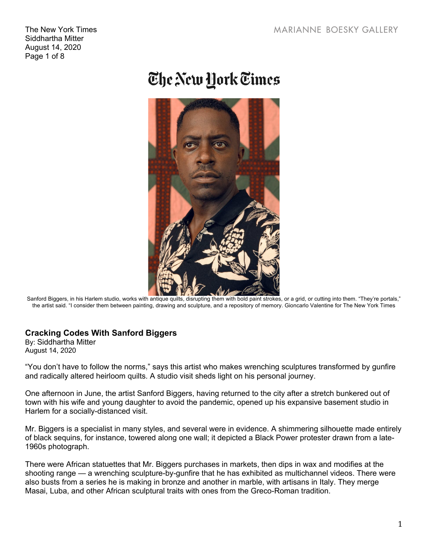The New York Times Siddhartha Mitter August 14, 2020 Page 1 of 8

## The New York Times



Sanford Biggers, in his Harlem studio, works with antique quilts, disrupting them with bold paint strokes, or a grid, or cutting into them. "They're portals," the artist said. "I consider them between painting, drawing and sculpture, and a repository of memory. Gioncarlo Valentine for The New York Times

## **Cracking Codes With Sanford Biggers**

By: Siddhartha Mitter August 14, 2020

"You don't have to follow the norms," says this artist who makes wrenching sculptures transformed by gunfire and radically altered heirloom quilts. A studio visit sheds light on his personal journey.

One afternoon in June, the artist Sanford Biggers, having returned to the city after a stretch bunkered out of town with his wife and young daughter to avoid the pandemic, opened up his expansive basement studio in Harlem for a socially-distanced visit.

Mr. Biggers is a specialist in many styles, and several were in evidence. A shimmering silhouette made entirely of black sequins, for instance, towered along one wall; it depicted a Black Power protester drawn from a late-1960s photograph.

There were African statuettes that Mr. Biggers purchases in markets, then dips in wax and modifies at the shooting range — a wrenching sculpture-by-gunfire that he has exhibited as multichannel videos. There were also busts from a series he is making in bronze and another in marble, with artisans in Italy. They merge Masai, Luba, and other African sculptural traits with ones from the Greco-Roman tradition.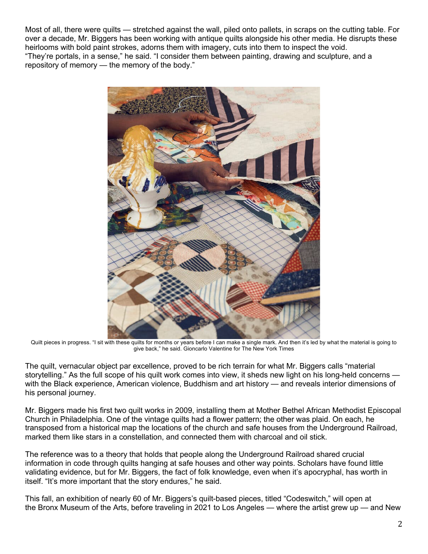Most of all, there were quilts — stretched against the wall, piled onto pallets, in scraps on the cutting table. For over a decade, Mr. Biggers has been working with antique quilts alongside his other media. He disrupts these heirlooms with bold paint strokes, adorns them with imagery, cuts into them to inspect the void. "They're portals, in a sense," he said. "I consider them between painting, drawing and sculpture, and a repository of memory — the memory of the body."



Quilt pieces in progress. "I sit with these quilts for months or years before I can make a single mark. And then it's led by what the material is going to give back," he said. Gioncarlo Valentine for The New York Times

The quilt, vernacular object par excellence, proved to be rich terrain for what Mr. Biggers calls "material storytelling." As the full scope of his quilt work comes into view, it sheds new light on his long-held concerns with the Black experience, American violence, Buddhism and art history — and reveals interior dimensions of his personal journey.

Mr. Biggers made his first two quilt works in 2009, installing them at Mother Bethel African Methodist Episcopal Church in Philadelphia. One of the vintage quilts had a flower pattern; the other was plaid. On each, he transposed from a historical map the locations of the church and safe houses from the Underground Railroad, marked them like stars in a constellation, and connected them with charcoal and oil stick.

The reference was to a theory that holds that people along the Underground Railroad shared crucial information in code through quilts hanging at safe houses and other way points. Scholars have found little validating evidence, but for Mr. Biggers, the fact of folk knowledge, even when it's apocryphal, has worth in itself. "It's more important that the story endures," he said.

This fall, an exhibition of nearly 60 of Mr. Biggers's quilt-based pieces, titled "Codeswitch," will open at the Bronx Museum of the Arts, before traveling in 2021 to Los Angeles — where the artist grew up — and New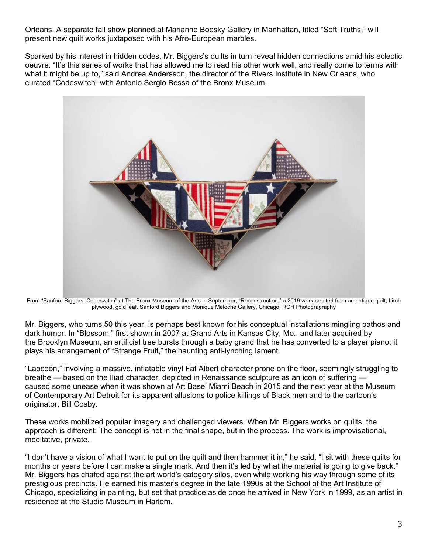Orleans. A separate fall show planned at Marianne Boesky Gallery in Manhattan, titled "Soft Truths," will present new quilt works juxtaposed with his Afro-European marbles.

Sparked by his interest in hidden codes, Mr. Biggers's quilts in turn reveal hidden connections amid his eclectic oeuvre. "It's this series of works that has allowed me to read his other work well, and really come to terms with what it might be up to," said Andrea Andersson, the director of the Rivers Institute in New Orleans, who curated "Codeswitch" with Antonio Sergio Bessa of the Bronx Museum.



From "Sanford Biggers: Codeswitch" at The Bronx Museum of the Arts in September, "Reconstruction," a 2019 work created from an antique quilt, birch plywood, gold leaf. Sanford Biggers and Monique Meloche Gallery, Chicago; RCH Photogragraphy

Mr. Biggers, who turns 50 this year, is perhaps best known for his conceptual installations mingling pathos and dark humor. In "Blossom," first shown in 2007 at Grand Arts in Kansas City, Mo., and later acquired by the Brooklyn Museum, an artificial tree bursts through a baby grand that he has converted to a player piano; it plays his arrangement of "Strange Fruit," the haunting anti-lynching lament.

"Laocoön," involving a massive, inflatable vinyl Fat Albert character prone on the floor, seemingly struggling to breathe — based on the Iliad character, depicted in Renaissance sculpture as an icon of suffering caused some unease when it was shown at Art Basel Miami Beach in 2015 and the next year at the Museum of Contemporary Art Detroit for its apparent allusions to police killings of Black men and to the cartoon's originator, Bill Cosby.

These works mobilized popular imagery and challenged viewers. When Mr. Biggers works on quilts, the approach is different: The concept is not in the final shape, but in the process. The work is improvisational, meditative, private.

"I don't have a vision of what I want to put on the quilt and then hammer it in," he said. "I sit with these quilts for months or years before I can make a single mark. And then it's led by what the material is going to give back." Mr. Biggers has chafed against the art world's category silos, even while working his way through some of its prestigious precincts. He earned his master's degree in the late 1990s at the School of the Art Institute of Chicago, specializing in painting, but set that practice aside once he arrived in New York in 1999, as an artist in residence at the Studio Museum in Harlem.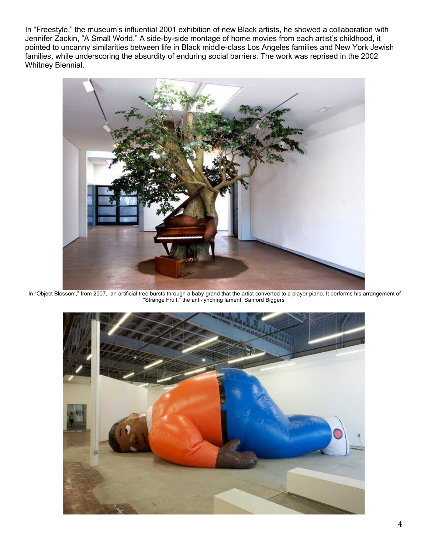In "Freestyle," the museum's influential 2001 exhibition of new Black artists, he showed a collaboration with Jennifer Zackin, "A Small World." A side-by-side montage of home movies from each artist's childhood, it pointed to uncanny similarities between life in Black middle-class Los Angeles families and New York Jewish families, while underscoring the absurdity of enduring social barriers. The work was reprised in the 2002 Whitney Biennial.



In "Object Blossom," from 2007, an artificial tree bursts through a baby grand that the artist converted to a player piano. It performs his arrangement of "Strange Fruit," the anti-lynching lament. Sanford Biggers

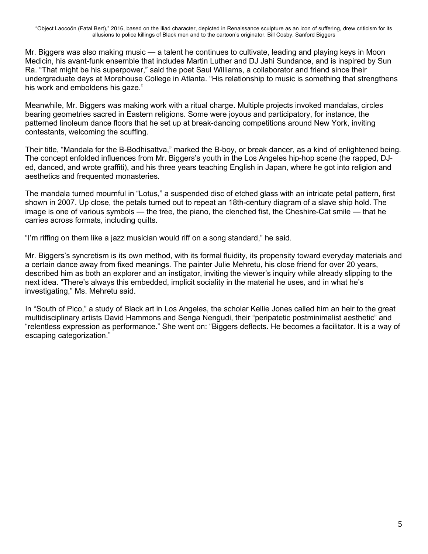Mr. Biggers was also making music — a talent he continues to cultivate, leading and playing keys in Moon Medicin, his avant-funk ensemble that includes Martin Luther and DJ Jahi Sundance, and is inspired by Sun Ra. "That might be his superpower," said the poet Saul Williams, a collaborator and friend since their undergraduate days at Morehouse College in Atlanta. "His relationship to music is something that strengthens his work and emboldens his gaze."

Meanwhile, Mr. Biggers was making work with a ritual charge. Multiple projects invoked mandalas, circles bearing geometries sacred in Eastern religions. Some were joyous and participatory, for instance, the patterned linoleum dance floors that he set up at break-dancing competitions around New York, inviting contestants, welcoming the scuffing.

Their title, "Mandala for the B-Bodhisattva," marked the B-boy, or break dancer, as a kind of enlightened being. The concept enfolded influences from Mr. Biggers's youth in the Los Angeles hip-hop scene (he rapped, DJed, danced, and wrote graffiti), and his three years teaching English in Japan, where he got into religion and aesthetics and frequented monasteries.

The mandala turned mournful in "Lotus," a suspended disc of etched glass with an intricate petal pattern, first shown in 2007. Up close, the petals turned out to repeat an 18th-century diagram of a slave ship hold. The image is one of various symbols — the tree, the piano, the clenched fist, the Cheshire-Cat smile — that he carries across formats, including quilts.

"I'm riffing on them like a jazz musician would riff on a song standard," he said.

Mr. Biggers's syncretism is its own method, with its formal fluidity, its propensity toward everyday materials and a certain dance away from fixed meanings. The painter Julie Mehretu, his close friend for over 20 years, described him as both an explorer and an instigator, inviting the viewer's inquiry while already slipping to the next idea. "There's always this embedded, implicit sociality in the material he uses, and in what he's investigating," Ms. Mehretu said.

In "South of Pico," a study of Black art in Los Angeles, the scholar Kellie Jones called him an heir to the great multidisciplinary artists David Hammons and Senga Nengudi, their "peripatetic postminimalist aesthetic" and "relentless expression as performance." She went on: "Biggers deflects. He becomes a facilitator. It is a way of escaping categorization."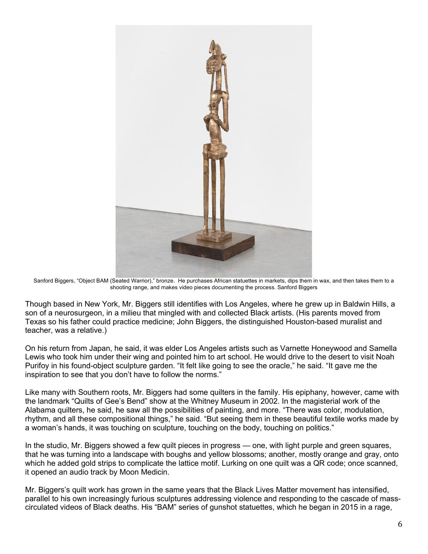

Sanford Biggers, "Object BAM (Seated Warrior)," bronze. He purchases African statuettes in markets, dips them in wax, and then takes them to a shooting range, and makes video pieces documenting the process. Sanford Biggers

Though based in New York, Mr. Biggers still identifies with Los Angeles, where he grew up in Baldwin Hills, a son of a neurosurgeon, in a milieu that mingled with and collected Black artists. (His parents moved from Texas so his father could practice medicine; John Biggers, the distinguished Houston-based muralist and teacher, was a relative.)

On his return from Japan, he said, it was elder Los Angeles artists such as Varnette Honeywood and Samella Lewis who took him under their wing and pointed him to art school. He would drive to the desert to visit Noah Purifoy in his found-object sculpture garden. "It felt like going to see the oracle," he said. "It gave me the inspiration to see that you don't have to follow the norms."

Like many with Southern roots, Mr. Biggers had some quilters in the family. His epiphany, however, came with the landmark "Quilts of Gee's Bend" show at the Whitney Museum in 2002. In the magisterial work of the Alabama quilters, he said, he saw all the possibilities of painting, and more. "There was color, modulation, rhythm, and all these compositional things," he said. "But seeing them in these beautiful textile works made by a woman's hands, it was touching on sculpture, touching on the body, touching on politics."

In the studio, Mr. Biggers showed a few quilt pieces in progress — one, with light purple and green squares, that he was turning into a landscape with boughs and yellow blossoms; another, mostly orange and gray, onto which he added gold strips to complicate the lattice motif. Lurking on one quilt was a QR code; once scanned, it opened an audio track by Moon Medicin.

Mr. Biggers's quilt work has grown in the same years that the Black Lives Matter movement has intensified, parallel to his own increasingly furious sculptures addressing violence and responding to the cascade of masscirculated videos of Black deaths. His "BAM" series of gunshot statuettes, which he began in 2015 in a rage,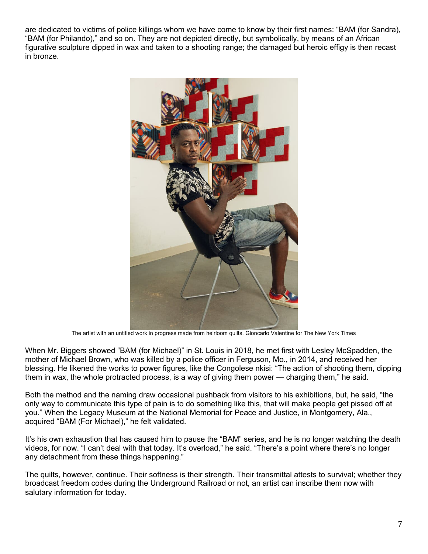are dedicated to victims of police killings whom we have come to know by their first names: "BAM (for Sandra), "BAM (for Philando)," and so on. They are not depicted directly, but symbolically, by means of an African figurative sculpture dipped in wax and taken to a shooting range; the damaged but heroic effigy is then recast in bronze.



The artist with an untitled work in progress made from heirloom quilts. Gioncarlo Valentine for The New York Times

When Mr. Biggers showed "BAM (for Michael)" in St. Louis in 2018, he met first with Lesley McSpadden, the mother of Michael Brown, who was killed by a police officer in Ferguson, Mo., in 2014, and received her blessing. He likened the works to power figures, like the Congolese nkisi: "The action of shooting them, dipping them in wax, the whole protracted process, is a way of giving them power — charging them," he said.

Both the method and the naming draw occasional pushback from visitors to his exhibitions, but, he said, "the only way to communicate this type of pain is to do something like this, that will make people get pissed off at you." When the Legacy Museum at the National Memorial for Peace and Justice, in Montgomery, Ala., acquired "BAM (For Michael)," he felt validated.

It's his own exhaustion that has caused him to pause the "BAM" series, and he is no longer watching the death videos, for now. "I can't deal with that today. It's overload," he said. "There's a point where there's no longer any detachment from these things happening."

The quilts, however, continue. Their softness is their strength. Their transmittal attests to survival; whether they broadcast freedom codes during the Underground Railroad or not, an artist can inscribe them now with salutary information for today.